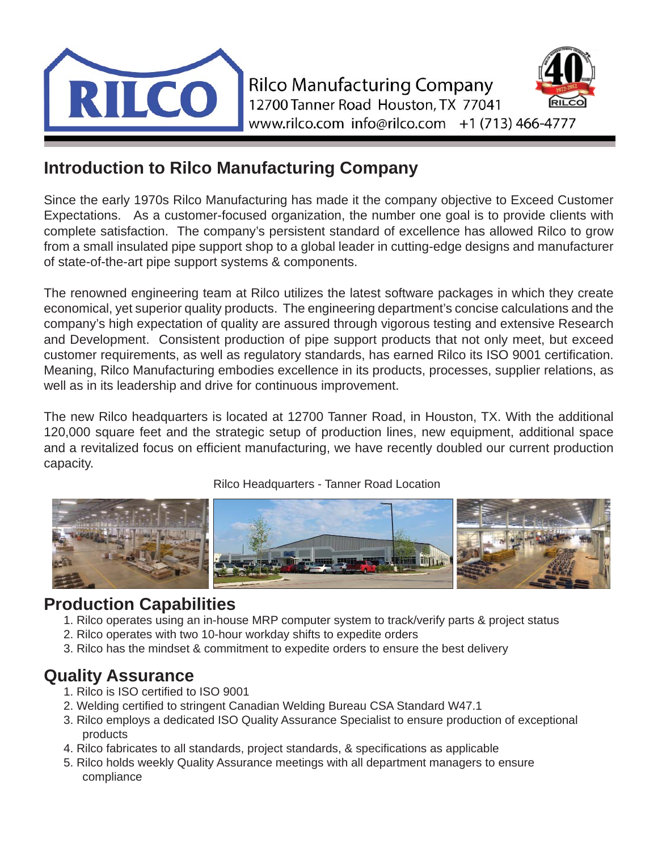

#### **Introduction to Rilco Manufacturing Company**

Since the early 1970s Rilco Manufacturing has made it the company objective to Exceed Customer Expectations. As a customer-focused organization, the number one goal is to provide clients with complete satisfaction. The company's persistent standard of excellence has allowed Rilco to grow from a small insulated pipe support shop to a global leader in cutting-edge designs and manufacturer of state-of-the-art pipe support systems & components.

The renowned engineering team at Rilco utilizes the latest software packages in which they create economical, yet superior quality products. The engineering department's concise calculations and the company's high expectation of quality are assured through vigorous testing and extensive Research and Development. Consistent production of pipe support products that not only meet, but exceed customer requirements, as well as regulatory standards, has earned Rilco its ISO 9001 certification. Meaning, Rilco Manufacturing embodies excellence in its products, processes, supplier relations, as well as in its leadership and drive for continuous improvement.

The new Rilco headquarters is located at 12700 Tanner Road, in Houston, TX. With the additional 120,000 square feet and the strategic setup of production lines, new equipment, additional space and a revitalized focus on efficient manufacturing, we have recently doubled our current production capacity.

Rilco Headquarters - Tanner Road Location



#### **Production Capabilities**

- 1. Rilco operates using an in-house MRP computer system to track/verify parts & project status
- 2. Rilco operates with two 10-hour workday shifts to expedite orders
- 3. Rilco has the mindset & commitment to expedite orders to ensure the best delivery

#### **Quality Assurance**

- 1. Rilco is ISO certified to ISO 9001
- 2. Welding certified to stringent Canadian Welding Bureau CSA Standard W47.1
- 3. Rilco employs a dedicated ISO Quality Assurance Specialist to ensure production of exceptional products
- 4. Rilco fabricates to all standards, project standards, & specifications as applicable
- 5. Rilco holds weekly Quality Assurance meetings with all department managers to ensure compliance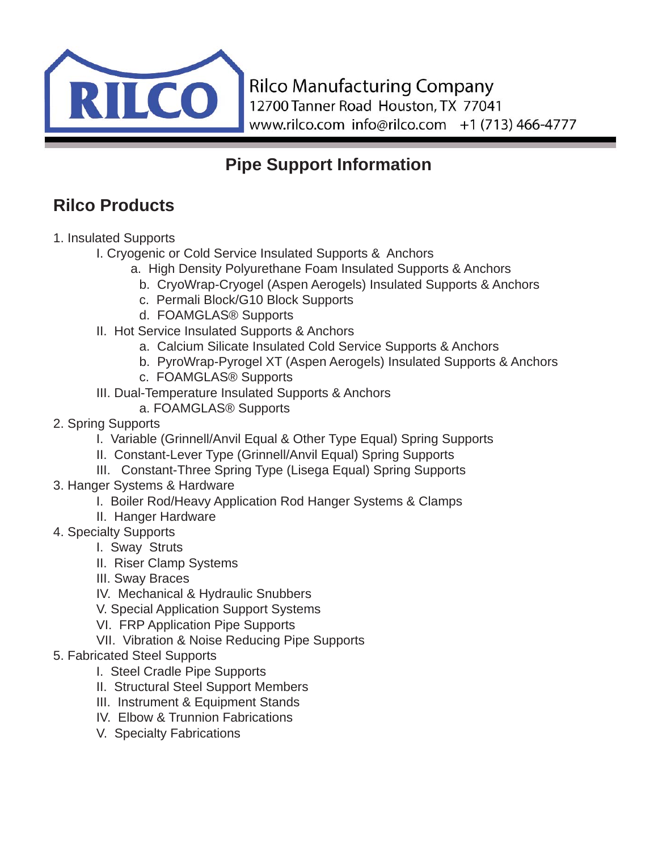

# **Pipe Support Information**

# **Rilco Products**

- 1. Insulated Supports
	- I. Cryogenic or Cold Service Insulated Supports & Anchors
		- a. High Density Polyurethane Foam Insulated Supports & Anchors
			- b. CryoWrap-Cryogel (Aspen Aerogels) Insulated Supports & Anchors
			- c. Permali Block/G10 Block Supports
			- d. FOAMGLAS® Supports
	- II. Hot Service Insulated Supports & Anchors
		- a. Calcium Silicate Insulated Cold Service Supports & Anchors
		- b. PyroWrap-Pyrogel XT (Aspen Aerogels) Insulated Supports & Anchors
		- c. FOAMGLAS® Supports
	- III. Dual-Temperature Insulated Supports & Anchors
		- a. FOAMGLAS® Supports
- 2. Spring Supports
	- I. Variable (Grinnell/Anvil Equal & Other Type Equal) Spring Supports
	- II. Constant-Lever Type (Grinnell/Anvil Equal) Spring Supports
	- III. Constant-Three Spring Type (Lisega Equal) Spring Supports
- 3. Hanger Systems & Hardware
	- I. Boiler Rod/Heavy Application Rod Hanger Systems & Clamps
	- II. Hanger Hardware
- 4. Specialty Supports
	- I. Sway Struts
	- II. Riser Clamp Systems
	- III. Sway Braces
	- IV. Mechanical & Hydraulic Snubbers
	- V. Special Application Support Systems
	- VI. FRP Application Pipe Supports
	- VII. Vibration & Noise Reducing Pipe Supports
- 5. Fabricated Steel Supports
	- I. Steel Cradle Pipe Supports
	- II. Structural Steel Support Members
	- III. Instrument & Equipment Stands
	- IV. Elbow & Trunnion Fabrications
	- V. Specialty Fabrications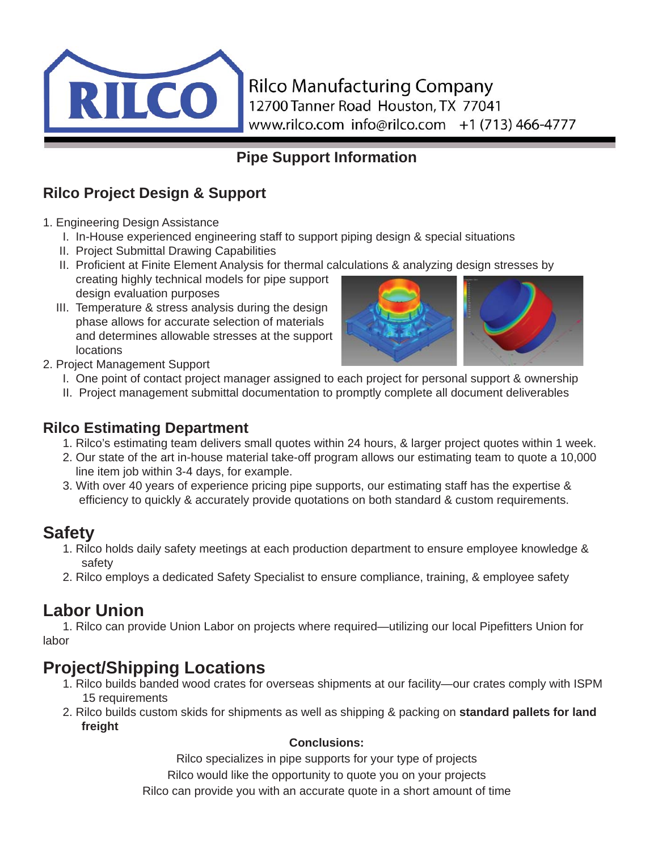

#### **Pipe Support Information**

#### **Rilco Project Design & Support**

- 1. Engineering Design Assistance
	- I. In-House experienced engineering staff to support piping design & special situations
	- II. Project Submittal Drawing Capabilities
	- II. Proficient at Finite Element Analysis for thermal calculations & analyzing design stresses by creating highly technical models for pipe support design evaluation purposes
	- III. Temperature & stress analysis during the design phase allows for accurate selection of materials and determines allowable stresses at the support locations



- 2. Project Management Support
	- I. One point of contact project manager assigned to each project for personal support & ownership
	- II. Project management submittal documentation to promptly complete all document deliverables

#### **Rilco Estimating Department**

- 1. Rilco's estimating team delivers small quotes within 24 hours, & larger project quotes within 1 week.
- 2. Our state of the art in-house material take-off program allows our estimating team to quote a 10,000 line item job within 3-4 days, for example.
- 3. With over 40 years of experience pricing pipe supports, our estimating staff has the expertise & efficiency to quickly & accurately provide quotations on both standard & custom requirements.

#### **Safety**

- 1. Rilco holds daily safety meetings at each production department to ensure employee knowledge & safety
- 2. Rilco employs a dedicated Safety Specialist to ensure compliance, training, & employee safety

# **Labor Union**

1. Rilco can provide Union Labor on projects where required—utilizing our local Pipefitters Union for labor

# **Project/Shipping Locations**

- 1. Rilco builds banded wood crates for overseas shipments at our facility—our crates comply with ISPM 15 requirements
- 2. Rilco builds custom skids for shipments as well as shipping & packing on **standard pallets for land freight**

#### **Conclusions:**

Rilco specializes in pipe supports for your type of projects

Rilco would like the opportunity to quote you on your projects

Rilco can provide you with an accurate quote in a short amount of time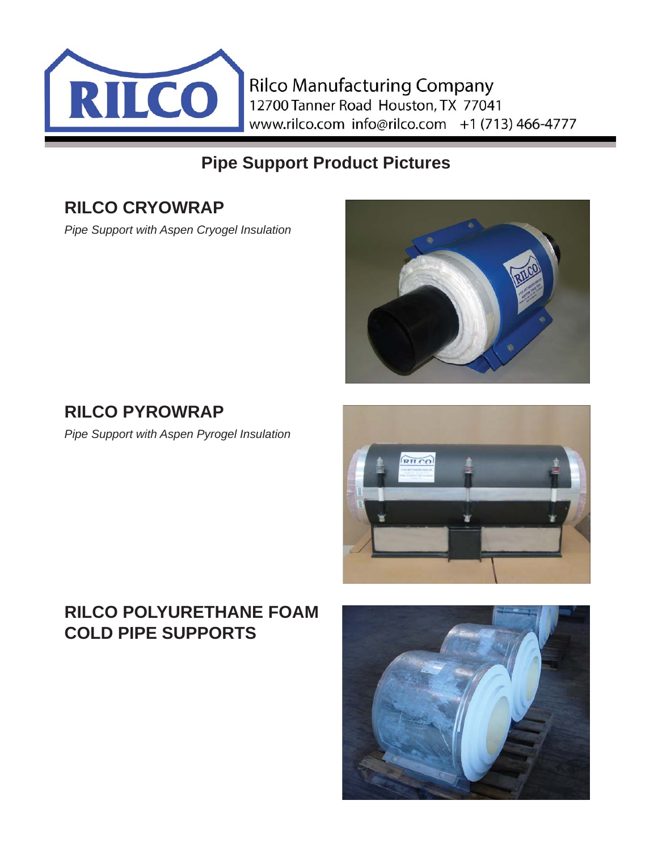

# **Pipe Support Product Pictures**

## **RILCO CRYOWRAP**

*Pipe Support with Aspen Cryogel Insulation*



# **RILCO PYROWRAP**

*Pipe Support with Aspen Pyrogel Insulation*



# **RILCO POLYURETHANE FOAM COLD PIPE SUPPORTS**

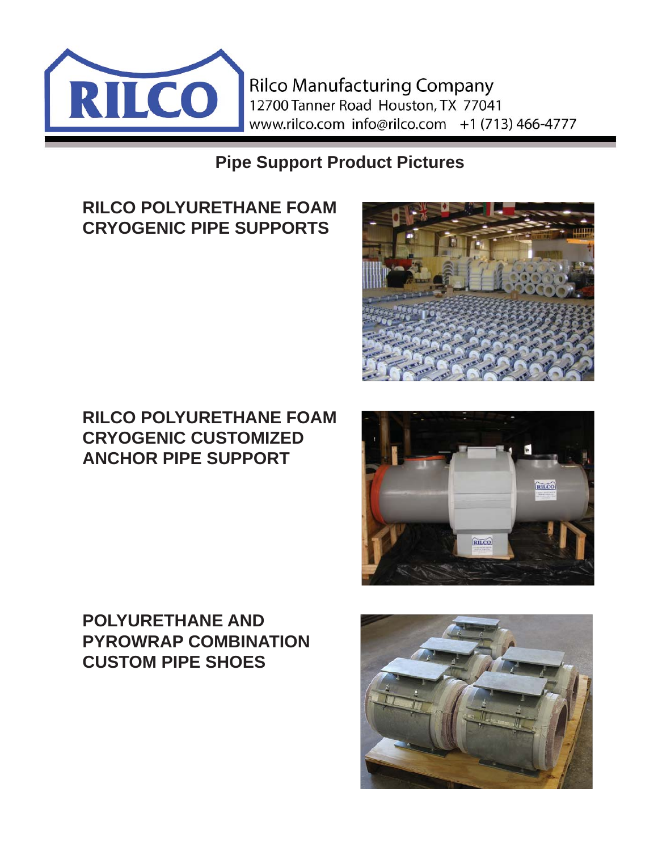

**Pipe Support Product Pictures**

# **RILCO POLYURETHANE FOAM CRYOGENIC PIPE SUPPORTS**

## **RILCO POLYURETHANE FOAM CRYOGENIC CUSTOMIZED ANCHOR PIPE SUPPORT**



# **POLYURETHANE AND PYROWRAP COMBINATION CUSTOM PIPE SHOES**

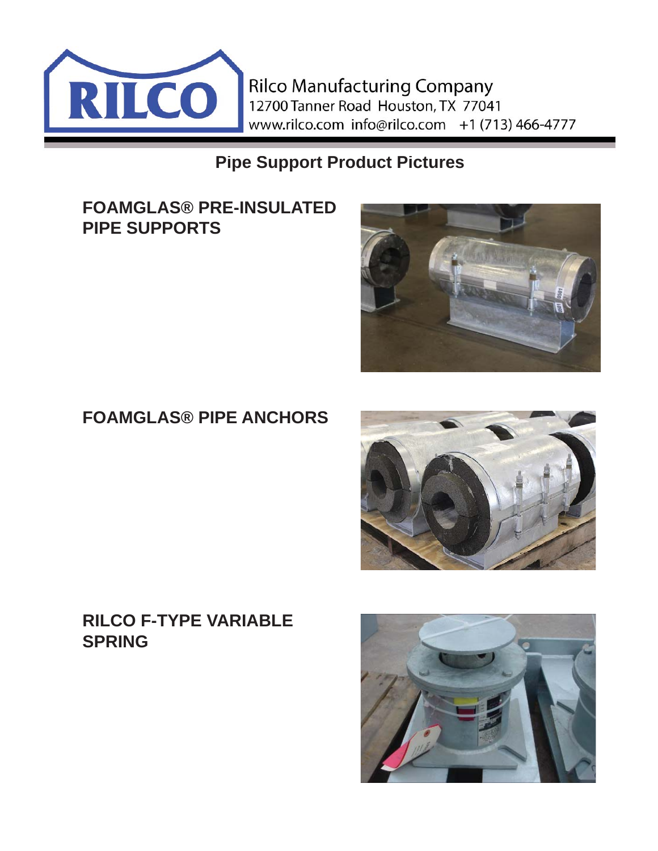

**Pipe Support Product Pictures**

**FOAMGLAS® PRE-INSULATED PIPE SUPPORTS** 



# **FOAMGLAS® PIPE ANCHORS**



#### **RILCO F-TYPE VARIABLE SPRING**

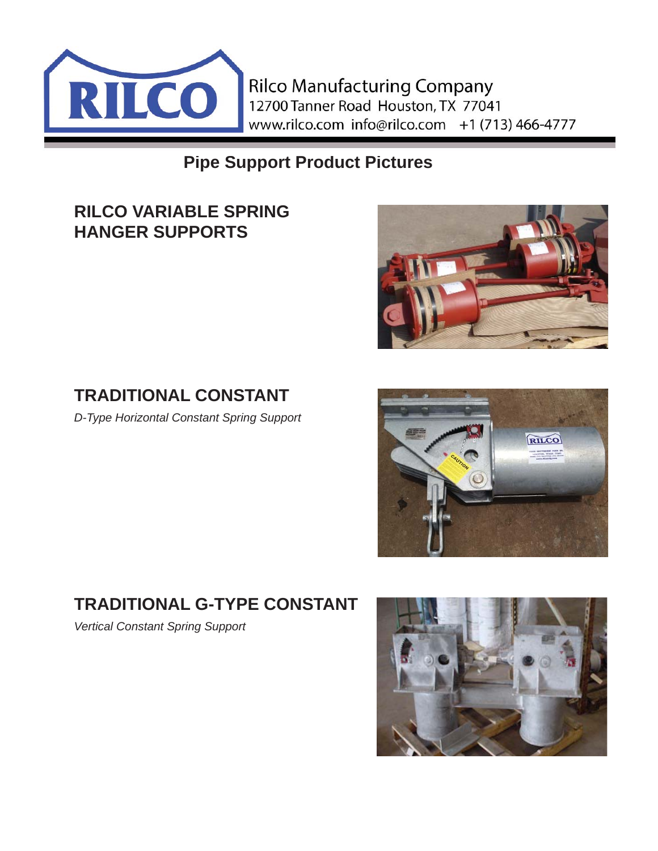

**Pipe Support Product Pictures**

### **RILCO VARIABLE SPRING HANGER SUPPORTS**



# **TRADITIONAL CONSTANT**

*D-Type Horizontal Constant Spring Support*



# **TRADITIONAL G-TYPE CONSTANT**

*Vertical Constant Spring Support*

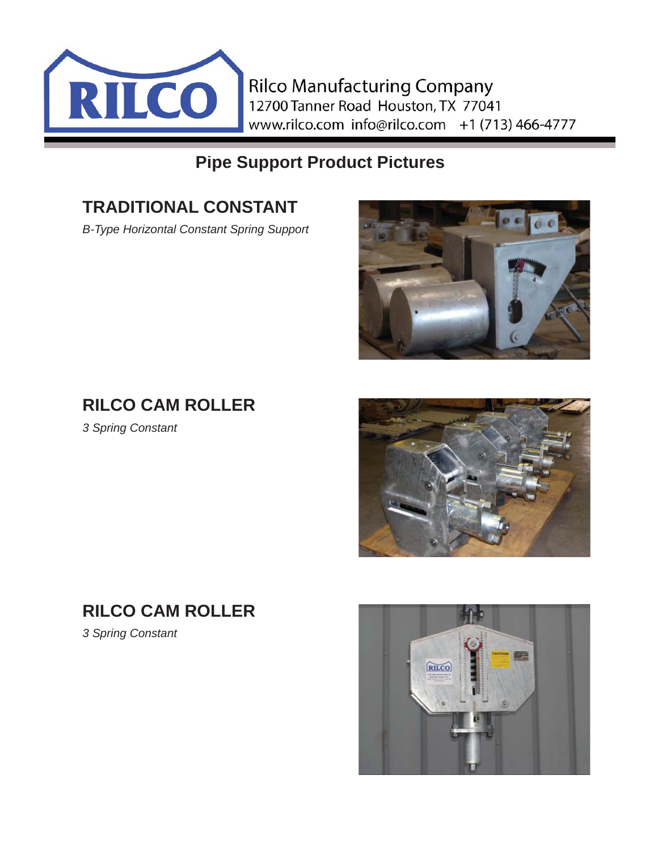

## **Pipe Support Product Pictures**

# **TRADITIONAL CONSTANT**

*B-Type Horizontal Constant Spring Support*



# **RILCO CAM ROLLER**

*3 Spring Constant*



*3 Spring Constant*